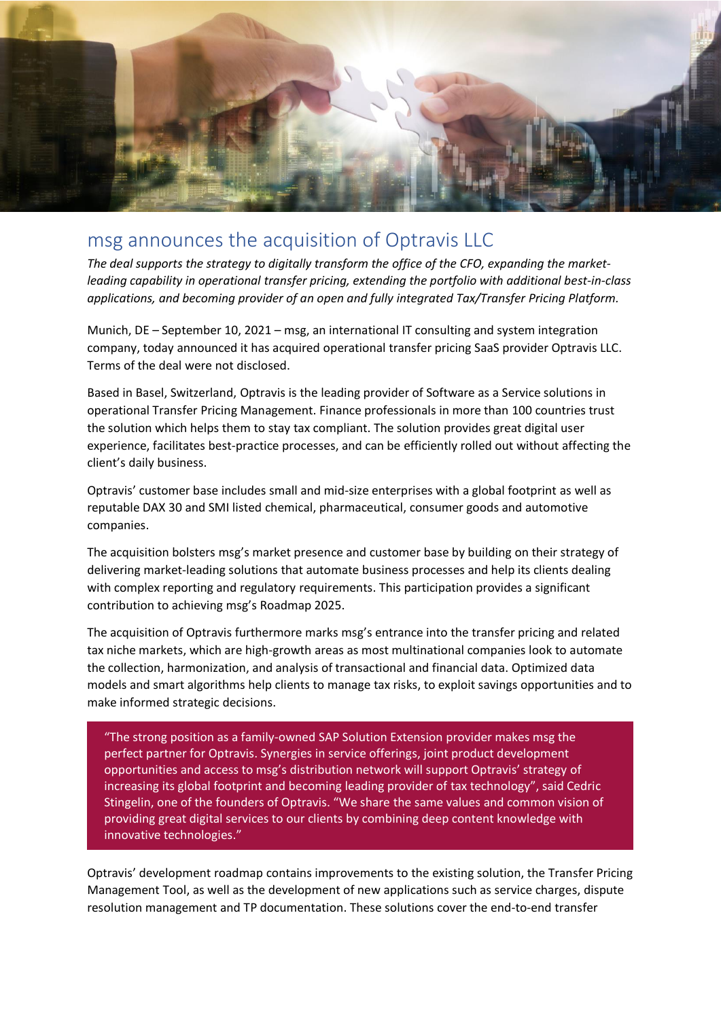

## msg announces the acquisition of Optravis LLC

*The deal supports the strategy to digitally transform the office of the CFO, expanding the marketleading capability in operational transfer pricing, extending the portfolio with additional best-in-class applications, and becoming provider of an open and fully integrated Tax/Transfer Pricing Platform.*

Munich, DE – September 10, 2021 – msg, an international IT consulting and system integration company, today announced it has acquired operational transfer pricing SaaS provider Optravis LLC. Terms of the deal were not disclosed.

Based in Basel, Switzerland, Optravis is the leading provider of Software as a Service solutions in operational Transfer Pricing Management. Finance professionals in more than 100 countries trust the solution which helps them to stay tax compliant. The solution provides great digital user experience, facilitates best-practice processes, and can be efficiently rolled out without affecting the client's daily business.

Optravis' customer base includes small and mid-size enterprises with a global footprint as well as reputable DAX 30 and SMI listed chemical, pharmaceutical, consumer goods and automotive companies.

The acquisition bolsters msg's market presence and customer base by building on their strategy of delivering market-leading solutions that automate business processes and help its clients dealing with complex reporting and regulatory requirements. This participation provides a significant contribution to achieving msg's Roadmap 2025.

The acquisition of Optravis furthermore marks msg's entrance into the transfer pricing and related tax niche markets, which are high-growth areas as most multinational companies look to automate the collection, harmonization, and analysis of transactional and financial data. Optimized data models and smart algorithms help clients to manage tax risks, to exploit savings opportunities and to make informed strategic decisions.

"The strong position as a family-owned SAP Solution Extension provider makes msg the perfect partner for Optravis. Synergies in service offerings, joint product development opportunities and access to msg's distribution network will support Optravis' strategy of increasing its global footprint and becoming leading provider of tax technology", said Cedric Stingelin, one of the founders of Optravis. "We share the same values and common vision of providing great digital services to our clients by combining deep content knowledge with innovative technologies."

Optravis' development roadmap contains improvements to the existing solution, the Transfer Pricing Management Tool, as well as the development of new applications such as service charges, dispute resolution management and TP documentation. These solutions cover the end-to-end transfer